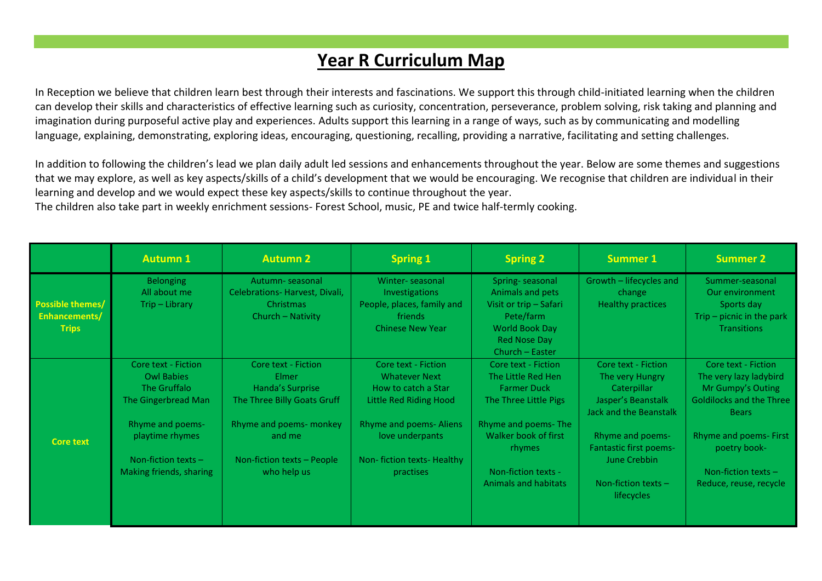## **Year R Curriculum Map**

In Reception we believe that children learn best through their interests and fascinations. We support this through child-initiated learning when the children can develop their skills and characteristics of effective learning such as curiosity, concentration, perseverance, problem solving, risk taking and planning and imagination during purposeful active play and experiences. Adults support this learning in a range of ways, such as by communicating and modelling language, explaining, demonstrating, exploring ideas, encouraging, questioning, recalling, providing a narrative, facilitating and setting challenges.

In addition to following the children's lead we plan daily adult led sessions and enhancements throughout the year. Below are some themes and suggestions that we may explore, as well as key aspects/skills of a child's development that we would be encouraging. We recognise that children are individual in their learning and develop and we would expect these key aspects/skills to continue throughout the year.

The children also take part in weekly enrichment sessions- Forest School, music, PE and twice half-termly cooking.

|                                                          | <b>Autumn 1</b>                                                                                                                                                                   | <b>Autumn 2</b>                                                                                                                                                   | <b>Spring 1</b>                                                                                                                                                                                    | <b>Spring 2</b>                                                                                                                                                                                                | <b>Summer 1</b>                                                                                                                                                                                                                 | <b>Summer 2</b>                                                                                                                                                                                                  |
|----------------------------------------------------------|-----------------------------------------------------------------------------------------------------------------------------------------------------------------------------------|-------------------------------------------------------------------------------------------------------------------------------------------------------------------|----------------------------------------------------------------------------------------------------------------------------------------------------------------------------------------------------|----------------------------------------------------------------------------------------------------------------------------------------------------------------------------------------------------------------|---------------------------------------------------------------------------------------------------------------------------------------------------------------------------------------------------------------------------------|------------------------------------------------------------------------------------------------------------------------------------------------------------------------------------------------------------------|
| <b>Possible themes/</b><br>Enhancements/<br><b>Trips</b> | <b>Belonging</b><br>All about me<br>Trip - Library                                                                                                                                | Autumn-seasonal<br>Celebrations-Harvest, Divali,<br>Christmas<br>Church - Nativity                                                                                | Winter-seasonal<br><b>Investigations</b><br>People, places, family and<br>friends<br><b>Chinese New Year</b>                                                                                       | Spring-seasonal<br>Animals and pets<br>Visit or trip - Safari<br>Pete/farm<br><b>World Book Day</b><br><b>Red Nose Day</b><br>Church - Easter                                                                  | Growth - lifecycles and<br>change<br>Healthy practices                                                                                                                                                                          | Summer-seasonal<br>Our environment<br>Sports day<br>Trip $-$ picnic in the park<br><b>Transitions</b>                                                                                                            |
| <b>Core text</b>                                         | Core text - Fiction<br><b>Owl Babies</b><br>The Gruffalo<br>The Gingerbread Man<br><b>Rhyme and poems-</b><br>playtime rhymes<br>Non-fiction texts $-$<br>Making friends, sharing | Core text - Fiction<br>Elmer<br>Handa's Surprise<br>The Three Billy Goats Gruff<br>Rhyme and poems- monkey<br>and me<br>Non-fiction texts - People<br>who help us | Core text - Fiction<br><b>Whatever Next</b><br>How to catch a Star<br><b>Little Red Riding Hood</b><br><b>Rhyme and poems- Aliens</b><br>love underpants<br>Non-fiction texts-Healthy<br>practises | Core text - Fiction<br>The Little Red Hen<br><b>Farmer Duck</b><br>The Three Little Pigs<br>Rhyme and poems-The<br>Walker book of first<br><b>rhymes</b><br>Non-fiction texts -<br><b>Animals and habitats</b> | Core text - Fiction<br>The very Hungry<br>Caterpillar<br>Jasper's Beanstalk<br><b>Jack and the Beanstalk</b><br><b>Rhyme and poems-</b><br><b>Fantastic first poems-</b><br>June Crebbin<br>Non-fiction texts $-$<br>lifecycles | Core text - Fiction<br>The very lazy ladybird<br>Mr Gumpy's Outing<br><b>Goldilocks and the Three</b><br><b>Bears</b><br>Rhyme and poems- First<br>poetry book-<br>Non-fiction texts -<br>Reduce, reuse, recycle |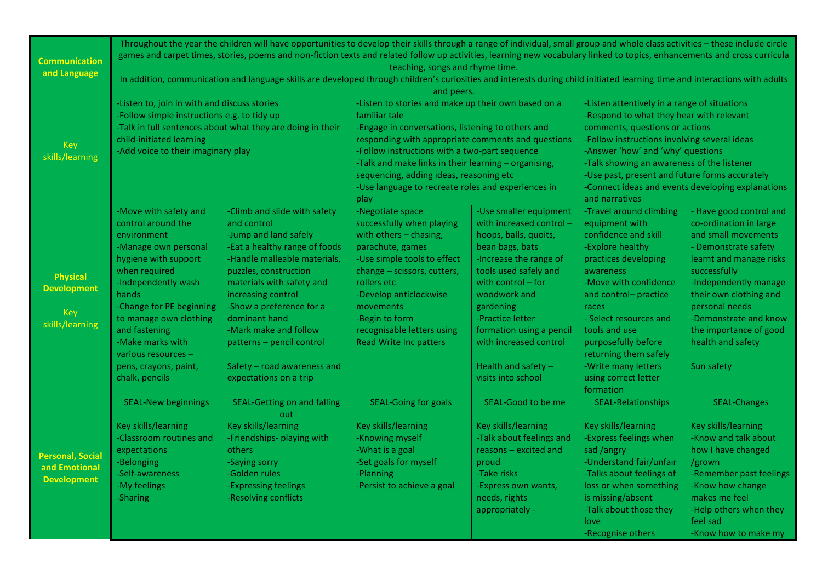| <b>Communication</b><br>and Language                            | Throughout the year the children will have opportunities to develop their skills through a range of individual, small group and whole class activities - these include circle<br>games and carpet times, stories, poems and non-fiction texts and related follow up activities, learning new vocabulary linked to topics, enhancements and cross curricula<br>teaching, songs and rhyme time.<br>In addition, communication and language skills are developed through children's curiosities and interests during child initiated learning time and interactions with adults<br>and peers. |                                                                                                                                                                                                                                                                                                                                                                               |                                                                                                                                                                                                                                                                                                                                                                                                   |                                                                                                                                                                                                                                                                                                                               |                                                                                                                                                                                                                                                                                                                                                                                        |                                                                                                                                                                                                                                                                                                        |
|-----------------------------------------------------------------|--------------------------------------------------------------------------------------------------------------------------------------------------------------------------------------------------------------------------------------------------------------------------------------------------------------------------------------------------------------------------------------------------------------------------------------------------------------------------------------------------------------------------------------------------------------------------------------------|-------------------------------------------------------------------------------------------------------------------------------------------------------------------------------------------------------------------------------------------------------------------------------------------------------------------------------------------------------------------------------|---------------------------------------------------------------------------------------------------------------------------------------------------------------------------------------------------------------------------------------------------------------------------------------------------------------------------------------------------------------------------------------------------|-------------------------------------------------------------------------------------------------------------------------------------------------------------------------------------------------------------------------------------------------------------------------------------------------------------------------------|----------------------------------------------------------------------------------------------------------------------------------------------------------------------------------------------------------------------------------------------------------------------------------------------------------------------------------------------------------------------------------------|--------------------------------------------------------------------------------------------------------------------------------------------------------------------------------------------------------------------------------------------------------------------------------------------------------|
| <b>Key</b><br>skills/learning                                   | -Listen to, join in with and discuss stories<br>-Follow simple instructions e.g. to tidy up<br>-Talk in full sentences about what they are doing in their<br>child-initiated learning<br>-Add voice to their imaginary play                                                                                                                                                                                                                                                                                                                                                                |                                                                                                                                                                                                                                                                                                                                                                               | -Listen to stories and make up their own based on a<br>familiar tale<br>-Engage in conversations, listening to others and<br>responding with appropriate comments and questions<br>-Follow instructions with a two-part sequence<br>-Talk and make links in their learning - organising,<br>sequencing, adding ideas, reasoning etc<br>-Use language to recreate roles and experiences in<br>play |                                                                                                                                                                                                                                                                                                                               | -Listen attentively in a range of situations<br>-Respond to what they hear with relevant<br>comments, questions or actions<br>-Follow instructions involving several ideas<br>-Answer 'how' and 'why' questions<br>-Talk showing an awareness of the listener<br>-Use past, present and future forms accurately<br>-Connect ideas and events developing explanations<br>and narratives |                                                                                                                                                                                                                                                                                                        |
| <b>Physical</b><br><b>Development</b><br>Key<br>skills/learning | -Move with safety and<br>control around the<br>environment<br>-Manage own personal<br>hygiene with support<br>when required<br>-Independently wash<br>hands<br>-Change for PE beginning<br>to manage own clothing<br>and fastening<br>-Make marks with<br>various resources -<br>pens, crayons, paint,<br>chalk, pencils                                                                                                                                                                                                                                                                   | -Climb and slide with safety<br>and control<br>-Jump and land safely<br>-Eat a healthy range of foods<br>-Handle malleable materials,<br>puzzles, construction<br>materials with safety and<br>increasing control<br>-Show a preference for a<br>dominant hand<br>-Mark make and follow<br>patterns - pencil control<br>Safety - road awareness and<br>expectations on a trip | -Negotiate space<br>successfully when playing<br>with others - chasing,<br>parachute, games<br>-Use simple tools to effect<br>change - scissors, cutters,<br>rollers etc<br>-Develop anticlockwise<br>movements<br>-Begin to form<br>recognisable letters using<br><b>Read Write Inc patters</b>                                                                                                  | -Use smaller equipment<br>with increased control -<br>hoops, balls, quoits,<br>bean bags, bats<br>-Increase the range of<br>tools used safely and<br>with control – for<br>woodwork and<br>gardening<br>-Practice letter<br>formation using a pencil<br>with increased control<br>Health and safety $-$<br>visits into school | -Travel around climbing<br>equipment with<br>confidence and skill<br>-Explore healthy<br>practices developing<br>awareness<br>-Move with confidence<br>and control- practice<br>races<br>- Select resources and<br>tools and use<br>purposefully before<br>returning them safely<br>-Write many letters<br>using correct letter<br>formation                                           | - Have good control and<br>co-ordination in large<br>and small movements<br>- Demonstrate safety<br>learnt and manage risks<br>successfully<br>-Independently manage<br>their own clothing and<br>personal needs<br>-Demonstrate and know<br>the importance of good<br>health and safety<br>Sun safety |
| <b>Personal, Social</b><br>and Emotional<br><b>Development</b>  | <b>SEAL-New beginnings</b><br>Key skills/learning<br><b>Classroom routines and</b><br>expectations<br>-Belonging<br>-Self-awareness<br>-My feelings<br>-Sharing                                                                                                                                                                                                                                                                                                                                                                                                                            | <b>SEAL-Getting on and falling</b><br>out<br>Key skills/learning<br>-Friendships- playing with<br>others<br>-Saying sorry<br>-Golden rules<br>-Expressing feelings<br>-Resolving conflicts                                                                                                                                                                                    | <b>SEAL-Going for goals</b><br>Key skills/learning<br>-Knowing myself<br>-What is a goal<br>-Set goals for myself<br>-Planning<br>-Persist to achieve a goal                                                                                                                                                                                                                                      | SEAL-Good to be me<br>Key skills/learning<br>-Talk about feelings and<br>reasons - excited and<br>proud<br>-Take risks<br>-Express own wants,<br>needs, rights<br>appropriately -                                                                                                                                             | <b>SEAL-Relationships</b><br>Key skills/learning<br>-Express feelings when<br>sad /angry<br>-Understand fair/unfair<br>-Talks about feelings of<br>loss or when something<br>is missing/absent<br>-Talk about those they<br>love<br>-Recognise others                                                                                                                                  | <b>SEAL-Changes</b><br>Key skills/learning<br>-Know and talk about<br>how I have changed<br>/grown<br>-Remember past feelings<br>-Know how change<br>makes me feel<br>-Help others when they<br>feel sad<br>-Know how to make my                                                                       |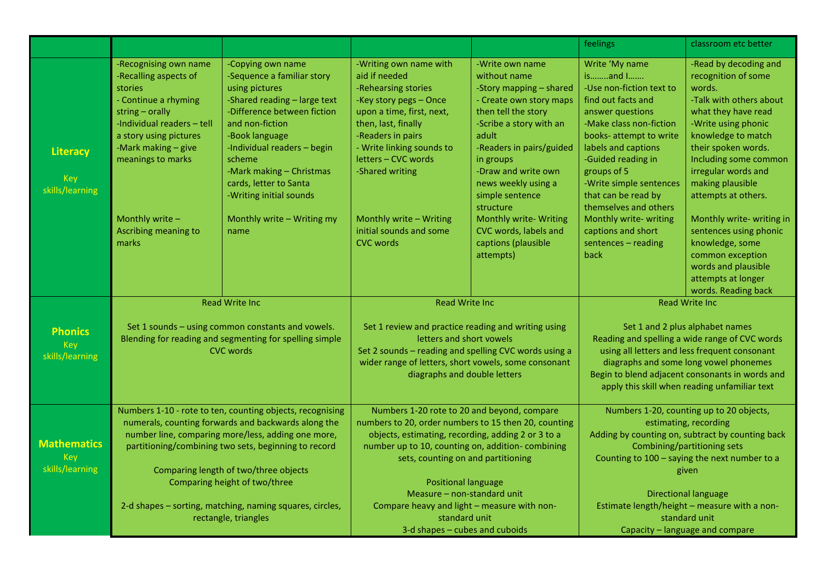|                                                 |                                                                                                                                                                                                                                                              |                                                                                                                                                                                                                                                                                                                                       |                                                                                                                                                                                                                                                                                                                    |                                                                                                                                                                                                                                                                                                                                                                | feelings                                                                                                                                                                                                                                                                                                                                                                    | classroom etc better                                                                                                                                                                                                                                                                                                                                                  |
|-------------------------------------------------|--------------------------------------------------------------------------------------------------------------------------------------------------------------------------------------------------------------------------------------------------------------|---------------------------------------------------------------------------------------------------------------------------------------------------------------------------------------------------------------------------------------------------------------------------------------------------------------------------------------|--------------------------------------------------------------------------------------------------------------------------------------------------------------------------------------------------------------------------------------------------------------------------------------------------------------------|----------------------------------------------------------------------------------------------------------------------------------------------------------------------------------------------------------------------------------------------------------------------------------------------------------------------------------------------------------------|-----------------------------------------------------------------------------------------------------------------------------------------------------------------------------------------------------------------------------------------------------------------------------------------------------------------------------------------------------------------------------|-----------------------------------------------------------------------------------------------------------------------------------------------------------------------------------------------------------------------------------------------------------------------------------------------------------------------------------------------------------------------|
| <b>Literacy</b><br>Key<br>skills/learning       | -Recognising own name<br>-Recalling aspects of<br>stories<br>- Continue a rhyming<br>string - orally<br>-Individual readers - tell<br>a story using pictures<br>-Mark making - give<br>meanings to marks<br>Monthly write -<br>Ascribing meaning to<br>marks | -Copying own name<br>-Sequence a familiar story<br>using pictures<br>-Shared reading - large text<br>-Difference between fiction<br>and non-fiction<br>-Book language<br>-Individual readers - begin<br>scheme<br>-Mark making - Christmas<br>cards, letter to Santa<br>-Writing initial sounds<br>Monthly write - Writing my<br>name | -Writing own name with<br>aid if needed<br>-Rehearsing stories<br>-Key story pegs - Once<br>upon a time, first, next,<br>then, last, finally<br>-Readers in pairs<br>- Write linking sounds to<br>letters - CVC words<br>-Shared writing<br>Monthly write - Writing<br>initial sounds and some<br><b>CVC</b> words | -Write own name<br>without name<br>-Story mapping - shared<br>- Create own story maps<br>then tell the story<br>-Scribe a story with an<br>adult<br>-Readers in pairs/guided<br>in groups<br>-Draw and write own<br>news weekly using a<br>simple sentence<br>structure<br>Monthly write- Writing<br>CVC words, labels and<br>captions (plausible<br>attempts) | Write 'My name<br>isand I<br>-Use non-fiction text to<br>find out facts and<br>answer questions<br>-Make class non-fiction<br>books- attempt to write<br>labels and captions<br>-Guided reading in<br>groups of 5<br>-Write simple sentences<br>that can be read by<br>themselves and others<br>Monthly write- writing<br>captions and short<br>sentences - reading<br>back | -Read by decoding and<br>recognition of some<br>words.<br>-Talk with others about<br>what they have read<br>-Write using phonic<br>knowledge to match<br>their spoken words.<br>Including some common<br>irregular words and<br>making plausible<br>attempts at others.<br>Monthly write- writing in<br>sentences using phonic<br>knowledge, some<br>common exception |
|                                                 |                                                                                                                                                                                                                                                              |                                                                                                                                                                                                                                                                                                                                       |                                                                                                                                                                                                                                                                                                                    |                                                                                                                                                                                                                                                                                                                                                                |                                                                                                                                                                                                                                                                                                                                                                             | words and plausible<br>attempts at longer<br>words. Reading back                                                                                                                                                                                                                                                                                                      |
|                                                 | <b>Read Write Inc.</b>                                                                                                                                                                                                                                       |                                                                                                                                                                                                                                                                                                                                       | <b>Read Write Inc.</b>                                                                                                                                                                                                                                                                                             |                                                                                                                                                                                                                                                                                                                                                                | <b>Read Write Inc.</b>                                                                                                                                                                                                                                                                                                                                                      |                                                                                                                                                                                                                                                                                                                                                                       |
| <b>Phonics</b><br><b>Key</b><br>skills/learning | Set 1 sounds - using common constants and vowels.<br>Blending for reading and segmenting for spelling simple<br><b>CVC</b> words                                                                                                                             |                                                                                                                                                                                                                                                                                                                                       | Set 1 review and practice reading and writing using<br>letters and short vowels<br>Set 2 sounds - reading and spelling CVC words using a<br>wider range of letters, short vowels, some consonant<br>diagraphs and double letters                                                                                   |                                                                                                                                                                                                                                                                                                                                                                | Set 1 and 2 plus alphabet names<br>Reading and spelling a wide range of CVC words<br>using all letters and less frequent consonant<br>diagraphs and some long vowel phonemes<br>Begin to blend adjacent consonants in words and<br>apply this skill when reading unfamiliar text                                                                                            |                                                                                                                                                                                                                                                                                                                                                                       |
|                                                 | Numbers 1-10 - rote to ten, counting objects, recognising                                                                                                                                                                                                    |                                                                                                                                                                                                                                                                                                                                       | Numbers 1-20 rote to 20 and beyond, compare                                                                                                                                                                                                                                                                        |                                                                                                                                                                                                                                                                                                                                                                | Numbers 1-20, counting up to 20 objects,                                                                                                                                                                                                                                                                                                                                    |                                                                                                                                                                                                                                                                                                                                                                       |
| <b>Mathematics</b><br>Key                       | numerals, counting forwards and backwards along the<br>number line, comparing more/less, adding one more,<br>partitioning/combining two sets, beginning to record                                                                                            |                                                                                                                                                                                                                                                                                                                                       | numbers to 20, order numbers to 15 then 20, counting<br>objects, estimating, recording, adding 2 or 3 to a<br>number up to 10, counting on, addition-combining<br>sets, counting on and partitioning                                                                                                               |                                                                                                                                                                                                                                                                                                                                                                | estimating, recording<br>Adding by counting on, subtract by counting back<br>Combining/partitioning sets<br>Counting to 100 - saying the next number to a                                                                                                                                                                                                                   |                                                                                                                                                                                                                                                                                                                                                                       |
| skills/learning                                 | Comparing length of two/three objects                                                                                                                                                                                                                        |                                                                                                                                                                                                                                                                                                                                       |                                                                                                                                                                                                                                                                                                                    |                                                                                                                                                                                                                                                                                                                                                                | given                                                                                                                                                                                                                                                                                                                                                                       |                                                                                                                                                                                                                                                                                                                                                                       |
|                                                 | Comparing height of two/three                                                                                                                                                                                                                                |                                                                                                                                                                                                                                                                                                                                       | <b>Positional language</b><br>Measure - non-standard unit                                                                                                                                                                                                                                                          |                                                                                                                                                                                                                                                                                                                                                                | <b>Directional language</b>                                                                                                                                                                                                                                                                                                                                                 |                                                                                                                                                                                                                                                                                                                                                                       |
|                                                 | 2-d shapes - sorting, matching, naming squares, circles,<br>rectangle, triangles                                                                                                                                                                             |                                                                                                                                                                                                                                                                                                                                       | Compare heavy and light - measure with non-<br>standard unit                                                                                                                                                                                                                                                       |                                                                                                                                                                                                                                                                                                                                                                | Estimate length/height - measure with a non-<br>standard unit                                                                                                                                                                                                                                                                                                               |                                                                                                                                                                                                                                                                                                                                                                       |
|                                                 |                                                                                                                                                                                                                                                              |                                                                                                                                                                                                                                                                                                                                       | 3-d shapes - cubes and cuboids                                                                                                                                                                                                                                                                                     |                                                                                                                                                                                                                                                                                                                                                                | Capacity - language and compare                                                                                                                                                                                                                                                                                                                                             |                                                                                                                                                                                                                                                                                                                                                                       |